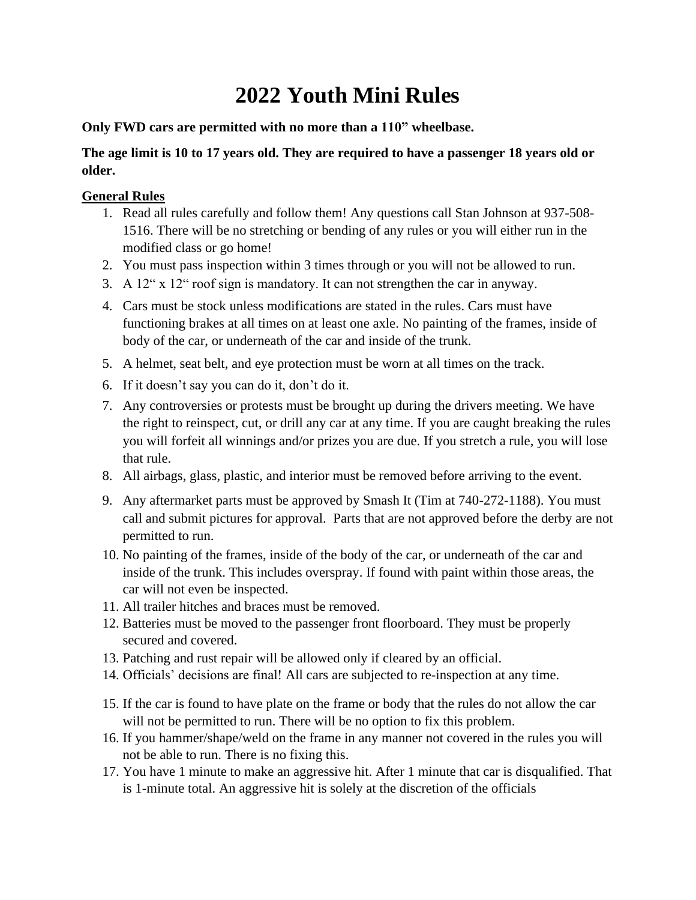# **2022 Youth Mini Rules**

**Only FWD cars are permitted with no more than a 110" wheelbase.**

## **The age limit is 10 to 17 years old. They are required to have a passenger 18 years old or older.**

## **General Rules**

- 1. Read all rules carefully and follow them! Any questions call Stan Johnson at 937-508- 1516. There will be no stretching or bending of any rules or you will either run in the modified class or go home!
- 2. You must pass inspection within 3 times through or you will not be allowed to run.
- 3. A 12" x 12" roof sign is mandatory. It can not strengthen the car in anyway.
- 4. Cars must be stock unless modifications are stated in the rules. Cars must have functioning brakes at all times on at least one axle. No painting of the frames, inside of body of the car, or underneath of the car and inside of the trunk.
- 5. A helmet, seat belt, and eye protection must be worn at all times on the track.
- 6. If it doesn't say you can do it, don't do it.
- 7. Any controversies or protests must be brought up during the drivers meeting. We have the right to reinspect, cut, or drill any car at any time. If you are caught breaking the rules you will forfeit all winnings and/or prizes you are due. If you stretch a rule, you will lose that rule.
- 8. All airbags, glass, plastic, and interior must be removed before arriving to the event.
- 9. Any aftermarket parts must be approved by Smash It (Tim at 740-272-1188). You must call and submit pictures for approval. Parts that are not approved before the derby are not permitted to run.
- 10. No painting of the frames, inside of the body of the car, or underneath of the car and inside of the trunk. This includes overspray. If found with paint within those areas, the car will not even be inspected.
- 11. All trailer hitches and braces must be removed.
- 12. Batteries must be moved to the passenger front floorboard. They must be properly secured and covered.
- 13. Patching and rust repair will be allowed only if cleared by an official.
- 14. Officials' decisions are final! All cars are subjected to re-inspection at any time.
- 15. If the car is found to have plate on the frame or body that the rules do not allow the car will not be permitted to run. There will be no option to fix this problem.
- 16. If you hammer/shape/weld on the frame in any manner not covered in the rules you will not be able to run. There is no fixing this.
- 17. You have 1 minute to make an aggressive hit. After 1 minute that car is disqualified. That is 1-minute total. An aggressive hit is solely at the discretion of the officials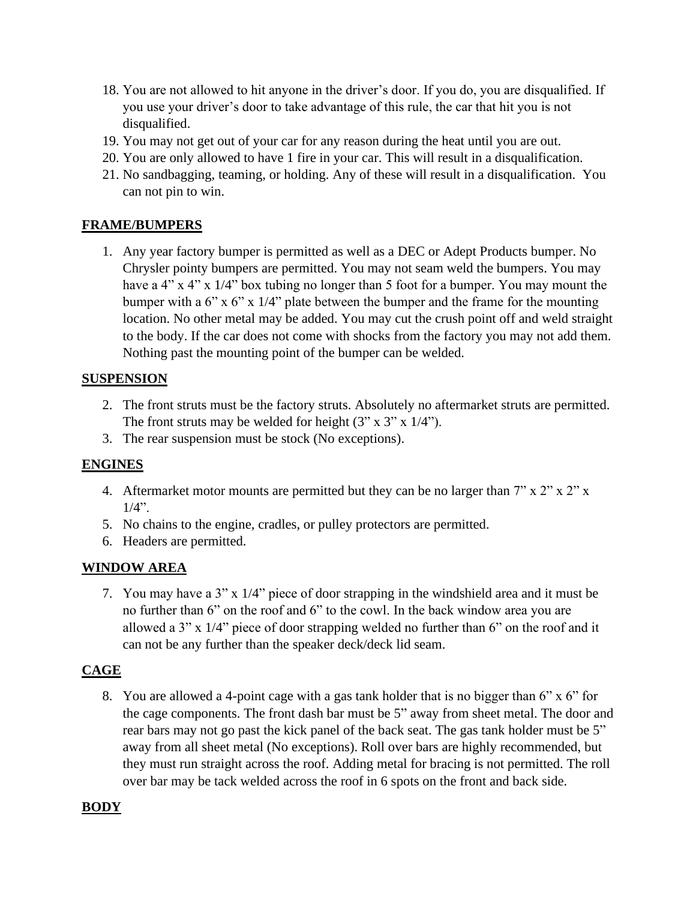- 18. You are not allowed to hit anyone in the driver's door. If you do, you are disqualified. If you use your driver's door to take advantage of this rule, the car that hit you is not disqualified.
- 19. You may not get out of your car for any reason during the heat until you are out.
- 20. You are only allowed to have 1 fire in your car. This will result in a disqualification.
- 21. No sandbagging, teaming, or holding. Any of these will result in a disqualification. You can not pin to win.

#### **FRAME/BUMPERS**

1. Any year factory bumper is permitted as well as a DEC or Adept Products bumper. No Chrysler pointy bumpers are permitted. You may not seam weld the bumpers. You may have a 4" x 4" x 1/4" box tubing no longer than 5 foot for a bumper. You may mount the bumper with a  $6$ " x  $6$ " x  $1/4$ " plate between the bumper and the frame for the mounting location. No other metal may be added. You may cut the crush point off and weld straight to the body. If the car does not come with shocks from the factory you may not add them. Nothing past the mounting point of the bumper can be welded.

#### **SUSPENSION**

- 2. The front struts must be the factory struts. Absolutely no aftermarket struts are permitted. The front struts may be welded for height  $(3'' \times 3'' \times 1/4'')$ .
- 3. The rear suspension must be stock (No exceptions).

## **ENGINES**

- 4. Aftermarket motor mounts are permitted but they can be no larger than  $7$ " x  $2$ " x  $2$ " x  $1/4$ ".
- 5. No chains to the engine, cradles, or pulley protectors are permitted.
- 6. Headers are permitted.

## **WINDOW AREA**

7. You may have a 3" x 1/4" piece of door strapping in the windshield area and it must be no further than 6" on the roof and 6" to the cowl. In the back window area you are allowed a 3" x 1/4" piece of door strapping welded no further than 6" on the roof and it can not be any further than the speaker deck/deck lid seam.

#### **CAGE**

8. You are allowed a 4-point cage with a gas tank holder that is no bigger than 6" x 6" for the cage components. The front dash bar must be 5" away from sheet metal. The door and rear bars may not go past the kick panel of the back seat. The gas tank holder must be 5" away from all sheet metal (No exceptions). Roll over bars are highly recommended, but they must run straight across the roof. Adding metal for bracing is not permitted. The roll over bar may be tack welded across the roof in 6 spots on the front and back side.

## **BODY**